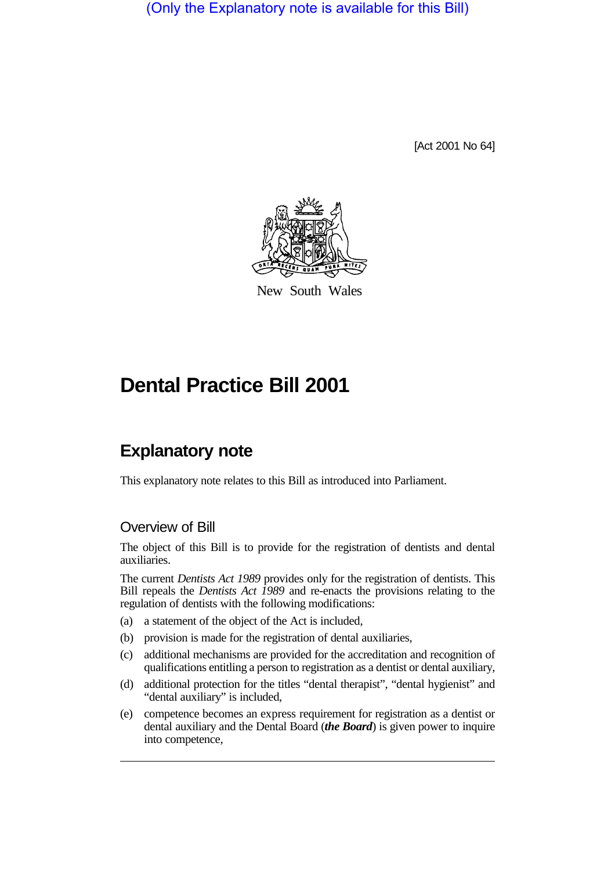(Only the Explanatory note is available for this Bill)

[Act 2001 No 64]



New South Wales

# **Dental Practice Bill 2001**

# **Explanatory note**

This explanatory note relates to this Bill as introduced into Parliament.

### Overview of Bill

The object of this Bill is to provide for the registration of dentists and dental auxiliaries.

The current *Dentists Act 1989* provides only for the registration of dentists. This Bill repeals the *Dentists Act 1989* and re-enacts the provisions relating to the regulation of dentists with the following modifications:

- (a) a statement of the object of the Act is included,
- (b) provision is made for the registration of dental auxiliaries,
- (c) additional mechanisms are provided for the accreditation and recognition of qualifications entitling a person to registration as a dentist or dental auxiliary,
- (d) additional protection for the titles "dental therapist", "dental hygienist" and "dental auxiliary" is included,
- (e) competence becomes an express requirement for registration as a dentist or dental auxiliary and the Dental Board (*the Board*) is given power to inquire into competence,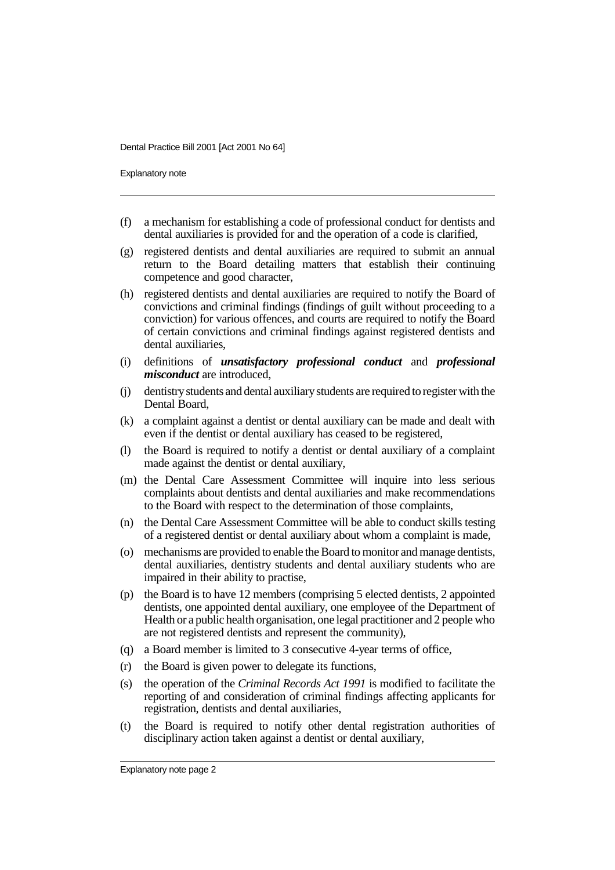Explanatory note

- (f) a mechanism for establishing a code of professional conduct for dentists and dental auxiliaries is provided for and the operation of a code is clarified,
- (g) registered dentists and dental auxiliaries are required to submit an annual return to the Board detailing matters that establish their continuing competence and good character,
- (h) registered dentists and dental auxiliaries are required to notify the Board of convictions and criminal findings (findings of guilt without proceeding to a conviction) for various offences, and courts are required to notify the Board of certain convictions and criminal findings against registered dentists and dental auxiliaries,
- (i) definitions of *unsatisfactory professional conduct* and *professional misconduct* are introduced,
- (j) dentistry students and dental auxiliary students are required to register with the Dental Board,
- (k) a complaint against a dentist or dental auxiliary can be made and dealt with even if the dentist or dental auxiliary has ceased to be registered,
- (l) the Board is required to notify a dentist or dental auxiliary of a complaint made against the dentist or dental auxiliary,
- (m) the Dental Care Assessment Committee will inquire into less serious complaints about dentists and dental auxiliaries and make recommendations to the Board with respect to the determination of those complaints,
- (n) the Dental Care Assessment Committee will be able to conduct skills testing of a registered dentist or dental auxiliary about whom a complaint is made,
- (o) mechanisms are provided to enable the Board to monitor and manage dentists, dental auxiliaries, dentistry students and dental auxiliary students who are impaired in their ability to practise,
- (p) the Board is to have 12 members (comprising 5 elected dentists, 2 appointed dentists, one appointed dental auxiliary, one employee of the Department of Health or a public health organisation, one legal practitioner and 2 people who are not registered dentists and represent the community),
- (q) a Board member is limited to 3 consecutive 4-year terms of office,
- (r) the Board is given power to delegate its functions,
- (s) the operation of the *Criminal Records Act 1991* is modified to facilitate the reporting of and consideration of criminal findings affecting applicants for registration, dentists and dental auxiliaries,
- (t) the Board is required to notify other dental registration authorities of disciplinary action taken against a dentist or dental auxiliary,

Explanatory note page 2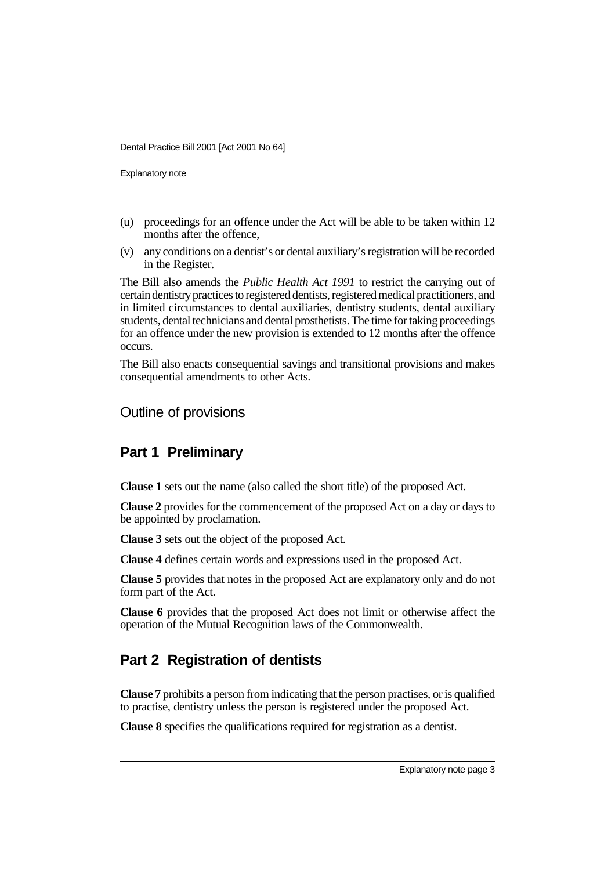Explanatory note

- (u) proceedings for an offence under the Act will be able to be taken within 12 months after the offence,
- (v) any conditions on a dentist's or dental auxiliary's registration will be recorded in the Register.

The Bill also amends the *Public Health Act 1991* to restrict the carrying out of certain dentistry practices to registered dentists, registered medical practitioners, and in limited circumstances to dental auxiliaries, dentistry students, dental auxiliary students, dental technicians and dental prosthetists. The time for taking proceedings for an offence under the new provision is extended to 12 months after the offence occurs.

The Bill also enacts consequential savings and transitional provisions and makes consequential amendments to other Acts.

Outline of provisions

### **Part 1 Preliminary**

**Clause 1** sets out the name (also called the short title) of the proposed Act.

**Clause 2** provides for the commencement of the proposed Act on a day or days to be appointed by proclamation.

**Clause 3** sets out the object of the proposed Act.

**Clause 4** defines certain words and expressions used in the proposed Act.

**Clause 5** provides that notes in the proposed Act are explanatory only and do not form part of the Act.

**Clause 6** provides that the proposed Act does not limit or otherwise affect the operation of the Mutual Recognition laws of the Commonwealth.

# **Part 2 Registration of dentists**

**Clause 7** prohibits a person from indicating that the person practises, or is qualified to practise, dentistry unless the person is registered under the proposed Act.

**Clause 8** specifies the qualifications required for registration as a dentist.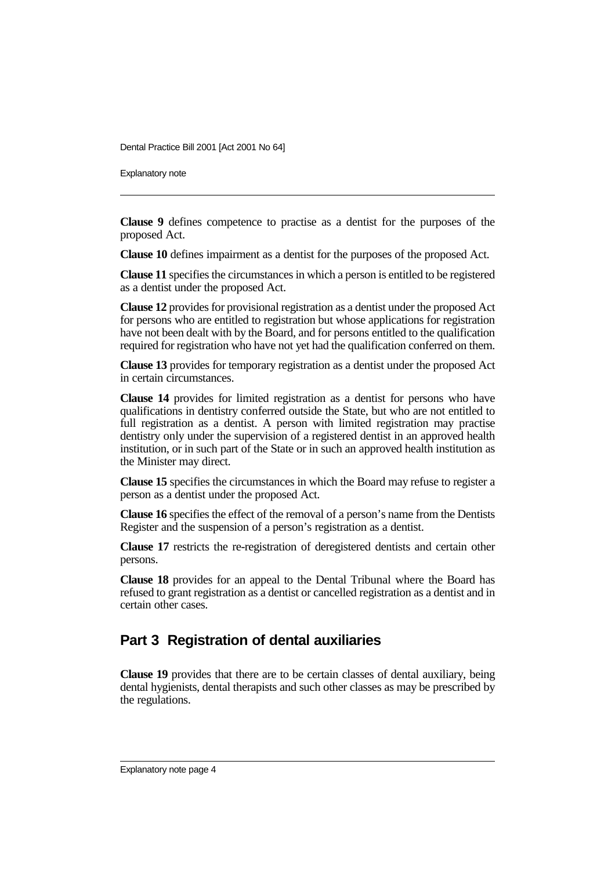Explanatory note

**Clause 9** defines competence to practise as a dentist for the purposes of the proposed Act.

**Clause 10** defines impairment as a dentist for the purposes of the proposed Act.

**Clause 11** specifies the circumstances in which a person is entitled to be registered as a dentist under the proposed Act.

**Clause 12** provides for provisional registration as a dentist under the proposed Act for persons who are entitled to registration but whose applications for registration have not been dealt with by the Board, and for persons entitled to the qualification required for registration who have not yet had the qualification conferred on them.

**Clause 13** provides for temporary registration as a dentist under the proposed Act in certain circumstances.

**Clause 14** provides for limited registration as a dentist for persons who have qualifications in dentistry conferred outside the State, but who are not entitled to full registration as a dentist. A person with limited registration may practise dentistry only under the supervision of a registered dentist in an approved health institution, or in such part of the State or in such an approved health institution as the Minister may direct.

**Clause 15** specifies the circumstances in which the Board may refuse to register a person as a dentist under the proposed Act.

**Clause 16** specifies the effect of the removal of a person's name from the Dentists Register and the suspension of a person's registration as a dentist.

**Clause 17** restricts the re-registration of deregistered dentists and certain other persons.

**Clause 18** provides for an appeal to the Dental Tribunal where the Board has refused to grant registration as a dentist or cancelled registration as a dentist and in certain other cases.

### **Part 3 Registration of dental auxiliaries**

**Clause 19** provides that there are to be certain classes of dental auxiliary, being dental hygienists, dental therapists and such other classes as may be prescribed by the regulations.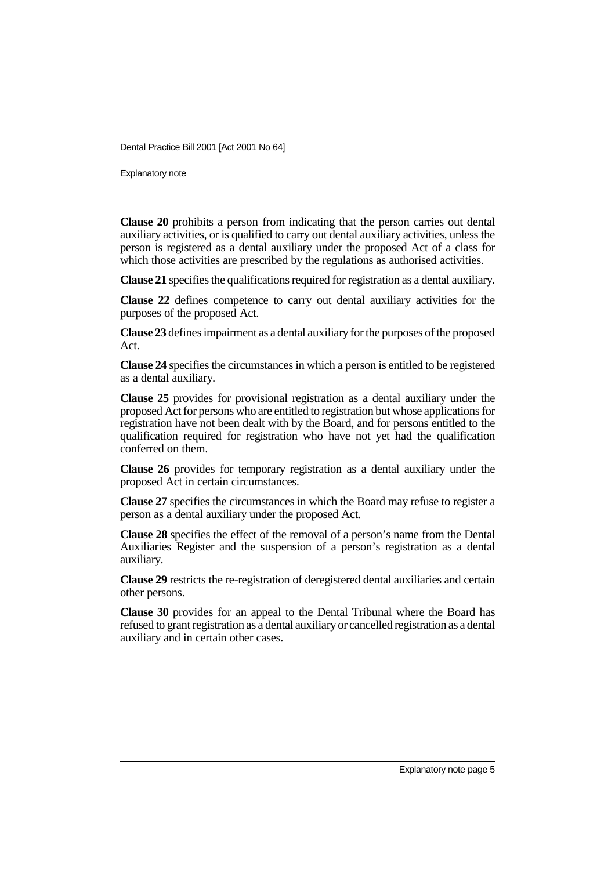Explanatory note

**Clause 20** prohibits a person from indicating that the person carries out dental auxiliary activities, or is qualified to carry out dental auxiliary activities, unless the person is registered as a dental auxiliary under the proposed Act of a class for which those activities are prescribed by the regulations as authorised activities.

**Clause 21** specifies the qualifications required for registration as a dental auxiliary.

**Clause 22** defines competence to carry out dental auxiliary activities for the purposes of the proposed Act.

**Clause 23** defines impairment as a dental auxiliary for the purposes of the proposed Act.

**Clause 24** specifies the circumstances in which a person is entitled to be registered as a dental auxiliary.

**Clause 25** provides for provisional registration as a dental auxiliary under the proposed Act for persons who are entitled to registration but whose applications for registration have not been dealt with by the Board, and for persons entitled to the qualification required for registration who have not yet had the qualification conferred on them.

**Clause 26** provides for temporary registration as a dental auxiliary under the proposed Act in certain circumstances.

**Clause 27** specifies the circumstances in which the Board may refuse to register a person as a dental auxiliary under the proposed Act.

**Clause 28** specifies the effect of the removal of a person's name from the Dental Auxiliaries Register and the suspension of a person's registration as a dental auxiliary.

**Clause 29** restricts the re-registration of deregistered dental auxiliaries and certain other persons.

**Clause 30** provides for an appeal to the Dental Tribunal where the Board has refused to grant registration as a dental auxiliary or cancelled registration as a dental auxiliary and in certain other cases.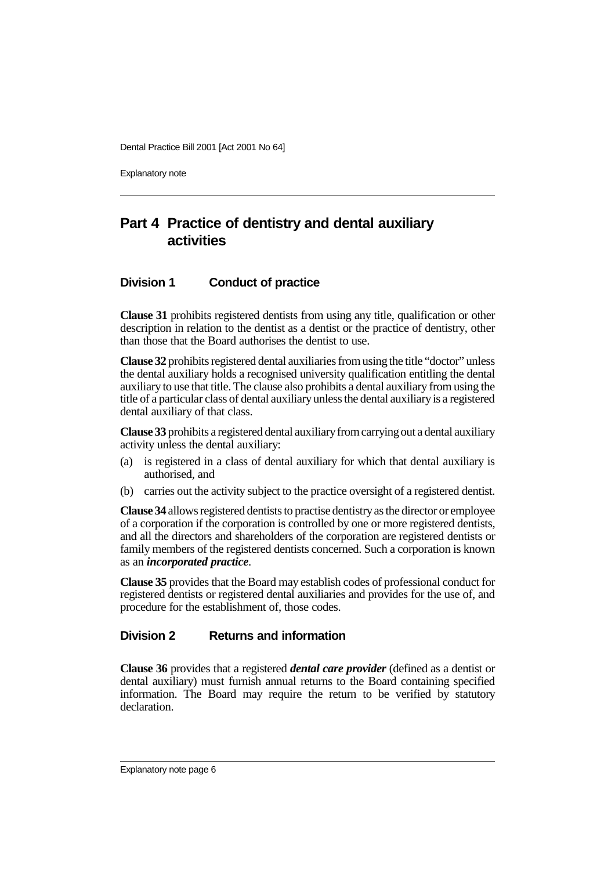Explanatory note

# **Part 4 Practice of dentistry and dental auxiliary activities**

### **Division 1 Conduct of practice**

**Clause 31** prohibits registered dentists from using any title, qualification or other description in relation to the dentist as a dentist or the practice of dentistry, other than those that the Board authorises the dentist to use.

**Clause 32** prohibits registered dental auxiliaries from using the title "doctor" unless the dental auxiliary holds a recognised university qualification entitling the dental auxiliary to use that title. The clause also prohibits a dental auxiliary from using the title of a particular class of dental auxiliary unless the dental auxiliary is a registered dental auxiliary of that class.

**Clause 33** prohibits a registered dental auxiliary from carrying out a dental auxiliary activity unless the dental auxiliary:

- (a) is registered in a class of dental auxiliary for which that dental auxiliary is authorised, and
- (b) carries out the activity subject to the practice oversight of a registered dentist.

**Clause 34** allows registered dentists to practise dentistry as the director or employee of a corporation if the corporation is controlled by one or more registered dentists, and all the directors and shareholders of the corporation are registered dentists or family members of the registered dentists concerned. Such a corporation is known as an *incorporated practice*.

**Clause 35** provides that the Board may establish codes of professional conduct for registered dentists or registered dental auxiliaries and provides for the use of, and procedure for the establishment of, those codes.

#### **Division 2 Returns and information**

**Clause 36** provides that a registered *dental care provider* (defined as a dentist or dental auxiliary) must furnish annual returns to the Board containing specified information. The Board may require the return to be verified by statutory declaration.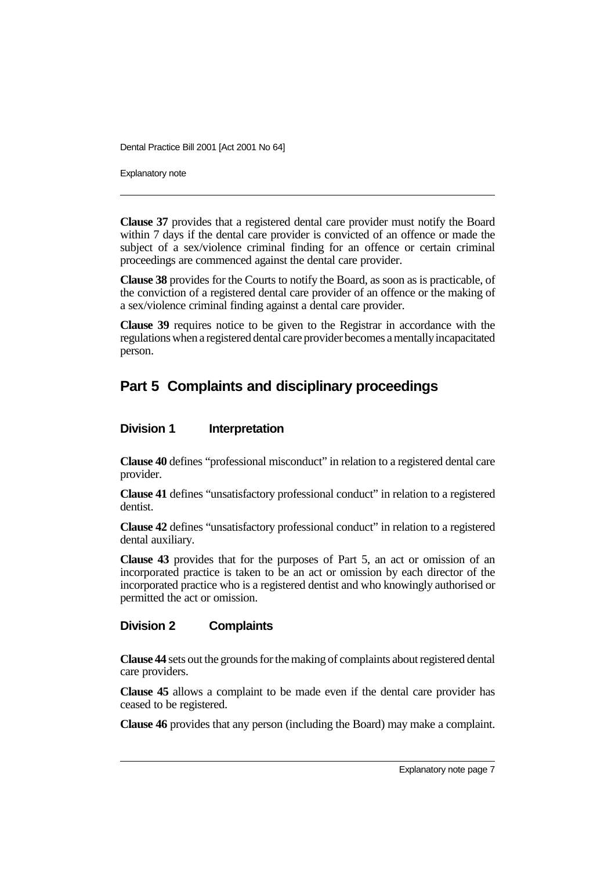Explanatory note

**Clause 37** provides that a registered dental care provider must notify the Board within 7 days if the dental care provider is convicted of an offence or made the subject of a sex/violence criminal finding for an offence or certain criminal proceedings are commenced against the dental care provider.

**Clause 38** provides for the Courts to notify the Board, as soon as is practicable, of the conviction of a registered dental care provider of an offence or the making of a sex/violence criminal finding against a dental care provider.

**Clause 39** requires notice to be given to the Registrar in accordance with the regulations when a registered dental care provider becomes a mentally incapacitated person.

# **Part 5 Complaints and disciplinary proceedings**

#### **Division 1 Interpretation**

**Clause 40** defines "professional misconduct" in relation to a registered dental care provider.

**Clause 41** defines "unsatisfactory professional conduct" in relation to a registered dentist.

**Clause 42** defines "unsatisfactory professional conduct" in relation to a registered dental auxiliary.

**Clause 43** provides that for the purposes of Part 5, an act or omission of an incorporated practice is taken to be an act or omission by each director of the incorporated practice who is a registered dentist and who knowingly authorised or permitted the act or omission.

#### **Division 2 Complaints**

**Clause 44** sets out the grounds for the making of complaints about registered dental care providers.

**Clause 45** allows a complaint to be made even if the dental care provider has ceased to be registered.

**Clause 46** provides that any person (including the Board) may make a complaint.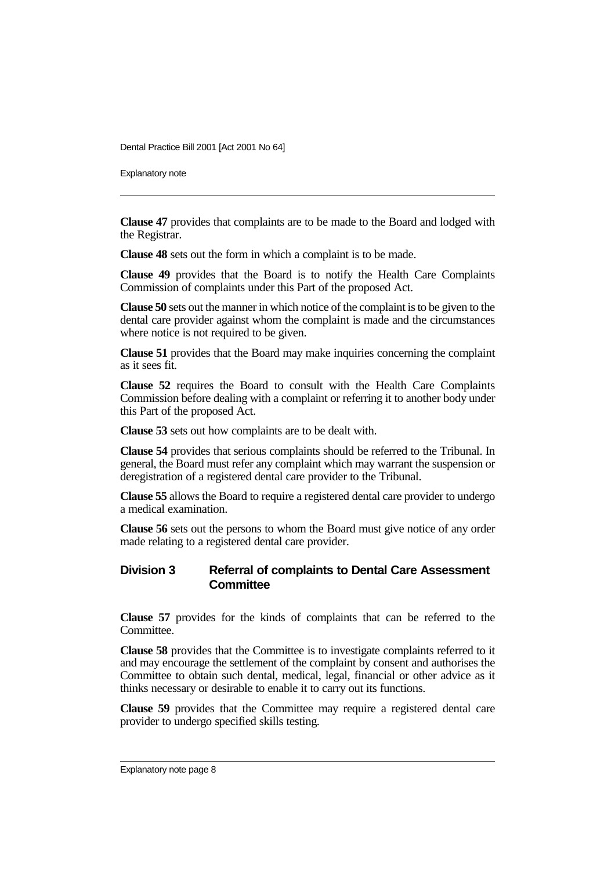Explanatory note

**Clause 47** provides that complaints are to be made to the Board and lodged with the Registrar.

**Clause 48** sets out the form in which a complaint is to be made.

**Clause 49** provides that the Board is to notify the Health Care Complaints Commission of complaints under this Part of the proposed Act.

**Clause 50** sets out the manner in which notice of the complaint is to be given to the dental care provider against whom the complaint is made and the circumstances where notice is not required to be given.

**Clause 51** provides that the Board may make inquiries concerning the complaint as it sees fit.

**Clause 52** requires the Board to consult with the Health Care Complaints Commission before dealing with a complaint or referring it to another body under this Part of the proposed Act.

**Clause 53** sets out how complaints are to be dealt with.

**Clause 54** provides that serious complaints should be referred to the Tribunal. In general, the Board must refer any complaint which may warrant the suspension or deregistration of a registered dental care provider to the Tribunal.

**Clause 55** allows the Board to require a registered dental care provider to undergo a medical examination.

**Clause 56** sets out the persons to whom the Board must give notice of any order made relating to a registered dental care provider.

#### **Division 3 Referral of complaints to Dental Care Assessment Committee**

**Clause 57** provides for the kinds of complaints that can be referred to the Committee.

**Clause 58** provides that the Committee is to investigate complaints referred to it and may encourage the settlement of the complaint by consent and authorises the Committee to obtain such dental, medical, legal, financial or other advice as it thinks necessary or desirable to enable it to carry out its functions.

**Clause 59** provides that the Committee may require a registered dental care provider to undergo specified skills testing.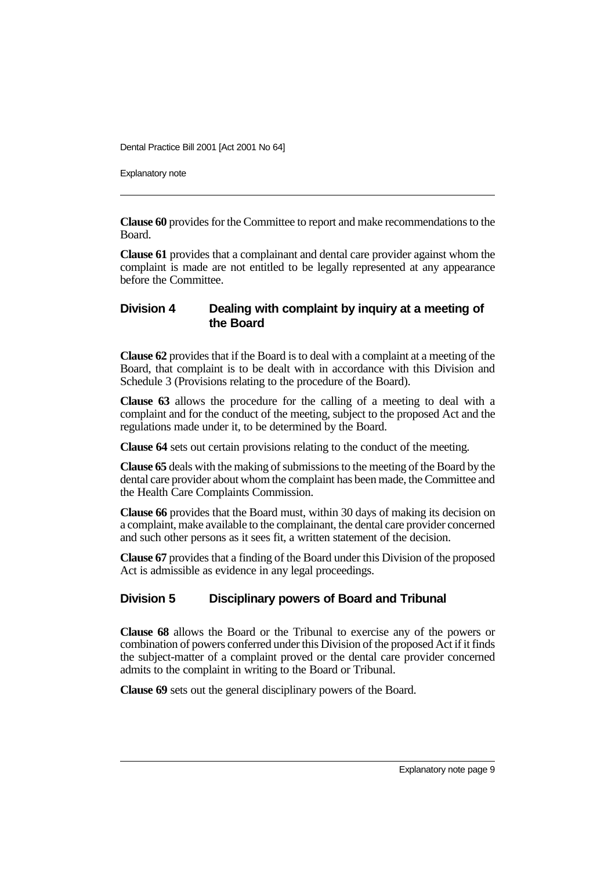Explanatory note

**Clause 60** provides for the Committee to report and make recommendations to the Board.

**Clause 61** provides that a complainant and dental care provider against whom the complaint is made are not entitled to be legally represented at any appearance before the Committee.

### **Division 4 Dealing with complaint by inquiry at a meeting of the Board**

**Clause 62** provides that if the Board is to deal with a complaint at a meeting of the Board, that complaint is to be dealt with in accordance with this Division and Schedule 3 (Provisions relating to the procedure of the Board).

**Clause 63** allows the procedure for the calling of a meeting to deal with a complaint and for the conduct of the meeting, subject to the proposed Act and the regulations made under it, to be determined by the Board.

**Clause 64** sets out certain provisions relating to the conduct of the meeting.

**Clause 65** deals with the making of submissions to the meeting of the Board by the dental care provider about whom the complaint has been made, the Committee and the Health Care Complaints Commission.

**Clause 66** provides that the Board must, within 30 days of making its decision on a complaint, make available to the complainant, the dental care provider concerned and such other persons as it sees fit, a written statement of the decision.

**Clause 67** provides that a finding of the Board under this Division of the proposed Act is admissible as evidence in any legal proceedings.

### **Division 5 Disciplinary powers of Board and Tribunal**

**Clause 68** allows the Board or the Tribunal to exercise any of the powers or combination of powers conferred under this Division of the proposed Act if it finds the subject-matter of a complaint proved or the dental care provider concerned admits to the complaint in writing to the Board or Tribunal.

**Clause 69** sets out the general disciplinary powers of the Board.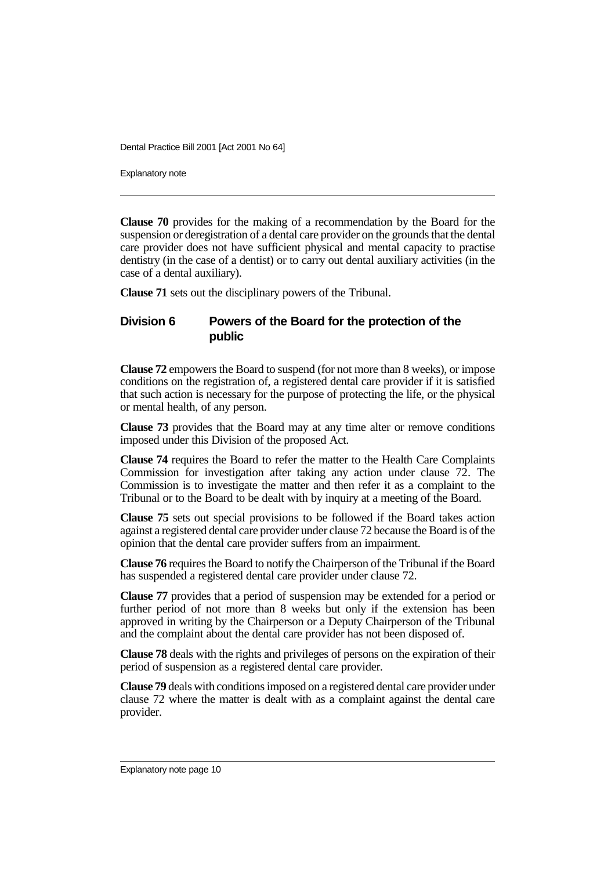Explanatory note

**Clause 70** provides for the making of a recommendation by the Board for the suspension or deregistration of a dental care provider on the grounds that the dental care provider does not have sufficient physical and mental capacity to practise dentistry (in the case of a dentist) or to carry out dental auxiliary activities (in the case of a dental auxiliary).

**Clause 71** sets out the disciplinary powers of the Tribunal.

#### **Division 6 Powers of the Board for the protection of the public**

**Clause 72** empowers the Board to suspend (for not more than 8 weeks), or impose conditions on the registration of, a registered dental care provider if it is satisfied that such action is necessary for the purpose of protecting the life, or the physical or mental health, of any person.

**Clause 73** provides that the Board may at any time alter or remove conditions imposed under this Division of the proposed Act.

**Clause 74** requires the Board to refer the matter to the Health Care Complaints Commission for investigation after taking any action under clause 72. The Commission is to investigate the matter and then refer it as a complaint to the Tribunal or to the Board to be dealt with by inquiry at a meeting of the Board.

**Clause 75** sets out special provisions to be followed if the Board takes action against a registered dental care provider under clause 72 because the Board is of the opinion that the dental care provider suffers from an impairment.

**Clause 76** requires the Board to notify the Chairperson of the Tribunal if the Board has suspended a registered dental care provider under clause 72.

**Clause 77** provides that a period of suspension may be extended for a period or further period of not more than 8 weeks but only if the extension has been approved in writing by the Chairperson or a Deputy Chairperson of the Tribunal and the complaint about the dental care provider has not been disposed of.

**Clause 78** deals with the rights and privileges of persons on the expiration of their period of suspension as a registered dental care provider.

**Clause 79** deals with conditions imposed on a registered dental care provider under clause 72 where the matter is dealt with as a complaint against the dental care provider.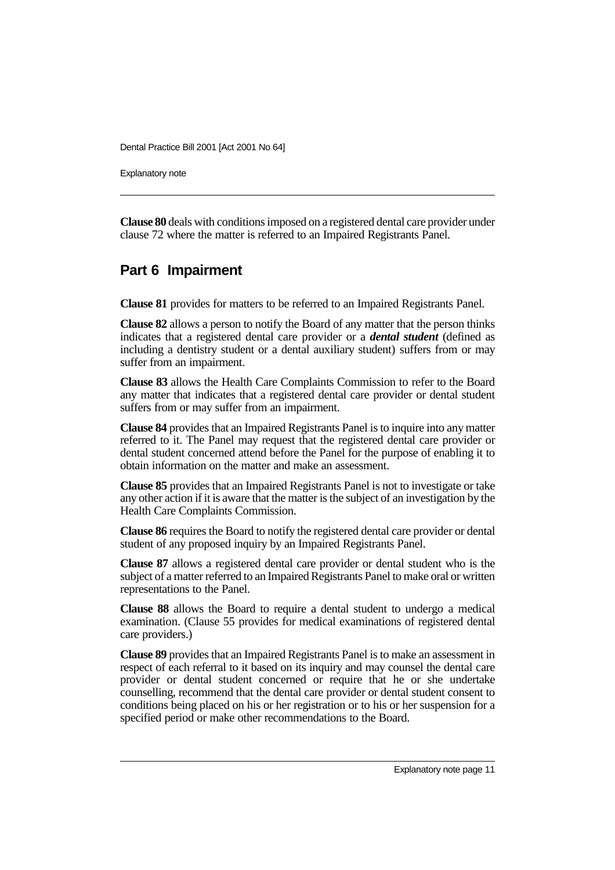Explanatory note

**Clause 80** deals with conditions imposed on a registered dental care provider under clause 72 where the matter is referred to an Impaired Registrants Panel.

### **Part 6 Impairment**

**Clause 81** provides for matters to be referred to an Impaired Registrants Panel.

**Clause 82** allows a person to notify the Board of any matter that the person thinks indicates that a registered dental care provider or a *dental student* (defined as including a dentistry student or a dental auxiliary student) suffers from or may suffer from an impairment.

**Clause 83** allows the Health Care Complaints Commission to refer to the Board any matter that indicates that a registered dental care provider or dental student suffers from or may suffer from an impairment.

**Clause 84** provides that an Impaired Registrants Panel is to inquire into any matter referred to it. The Panel may request that the registered dental care provider or dental student concerned attend before the Panel for the purpose of enabling it to obtain information on the matter and make an assessment.

**Clause 85** provides that an Impaired Registrants Panel is not to investigate or take any other action if it is aware that the matter is the subject of an investigation by the Health Care Complaints Commission.

**Clause 86** requires the Board to notify the registered dental care provider or dental student of any proposed inquiry by an Impaired Registrants Panel.

**Clause 87** allows a registered dental care provider or dental student who is the subject of a matter referred to an Impaired Registrants Panel to make oral or written representations to the Panel.

**Clause 88** allows the Board to require a dental student to undergo a medical examination. (Clause 55 provides for medical examinations of registered dental care providers.)

**Clause 89** provides that an Impaired Registrants Panel is to make an assessment in respect of each referral to it based on its inquiry and may counsel the dental care provider or dental student concerned or require that he or she undertake counselling, recommend that the dental care provider or dental student consent to conditions being placed on his or her registration or to his or her suspension for a specified period or make other recommendations to the Board.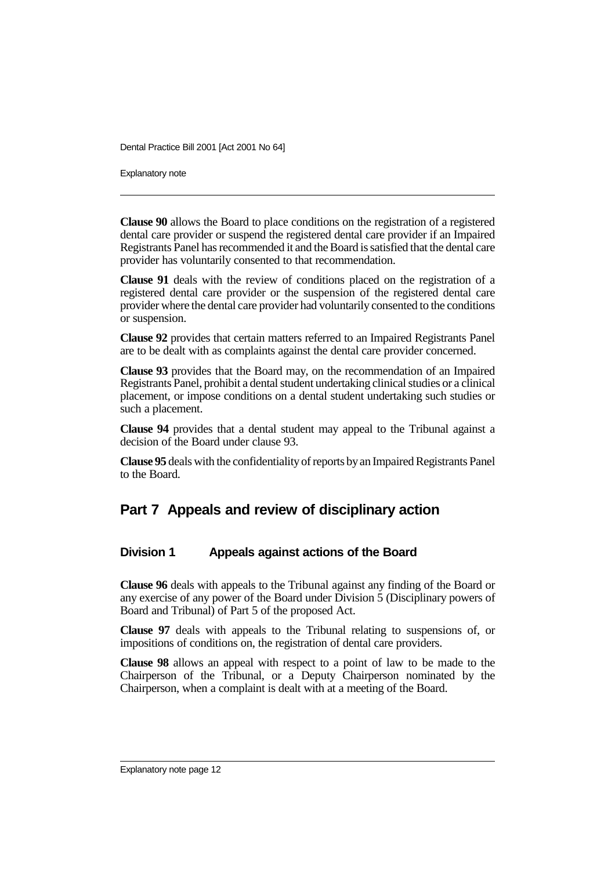Explanatory note

**Clause 90** allows the Board to place conditions on the registration of a registered dental care provider or suspend the registered dental care provider if an Impaired Registrants Panel has recommended it and the Board is satisfied that the dental care provider has voluntarily consented to that recommendation.

**Clause 91** deals with the review of conditions placed on the registration of a registered dental care provider or the suspension of the registered dental care provider where the dental care provider had voluntarily consented to the conditions or suspension.

**Clause 92** provides that certain matters referred to an Impaired Registrants Panel are to be dealt with as complaints against the dental care provider concerned.

**Clause 93** provides that the Board may, on the recommendation of an Impaired Registrants Panel, prohibit a dental student undertaking clinical studies or a clinical placement, or impose conditions on a dental student undertaking such studies or such a placement.

**Clause 94** provides that a dental student may appeal to the Tribunal against a decision of the Board under clause 93.

**Clause 95** deals with the confidentiality of reports by an Impaired Registrants Panel to the Board.

### **Part 7 Appeals and review of disciplinary action**

### **Division 1 Appeals against actions of the Board**

**Clause 96** deals with appeals to the Tribunal against any finding of the Board or any exercise of any power of the Board under Division 5 (Disciplinary powers of Board and Tribunal) of Part 5 of the proposed Act.

**Clause 97** deals with appeals to the Tribunal relating to suspensions of, or impositions of conditions on, the registration of dental care providers.

**Clause 98** allows an appeal with respect to a point of law to be made to the Chairperson of the Tribunal, or a Deputy Chairperson nominated by the Chairperson, when a complaint is dealt with at a meeting of the Board.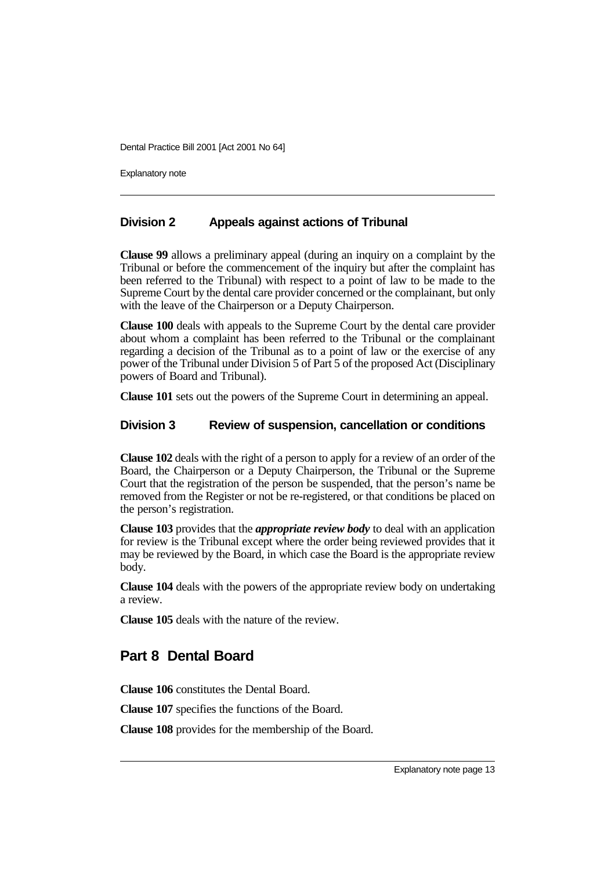Explanatory note

#### **Division 2 Appeals against actions of Tribunal**

**Clause 99** allows a preliminary appeal (during an inquiry on a complaint by the Tribunal or before the commencement of the inquiry but after the complaint has been referred to the Tribunal) with respect to a point of law to be made to the Supreme Court by the dental care provider concerned or the complainant, but only with the leave of the Chairperson or a Deputy Chairperson.

**Clause 100** deals with appeals to the Supreme Court by the dental care provider about whom a complaint has been referred to the Tribunal or the complainant regarding a decision of the Tribunal as to a point of law or the exercise of any power of the Tribunal under Division 5 of Part 5 of the proposed Act (Disciplinary powers of Board and Tribunal).

**Clause 101** sets out the powers of the Supreme Court in determining an appeal.

#### **Division 3 Review of suspension, cancellation or conditions**

**Clause 102** deals with the right of a person to apply for a review of an order of the Board, the Chairperson or a Deputy Chairperson, the Tribunal or the Supreme Court that the registration of the person be suspended, that the person's name be removed from the Register or not be re-registered, or that conditions be placed on the person's registration.

**Clause 103** provides that the *appropriate review body* to deal with an application for review is the Tribunal except where the order being reviewed provides that it may be reviewed by the Board, in which case the Board is the appropriate review body.

**Clause 104** deals with the powers of the appropriate review body on undertaking a review.

**Clause 105** deals with the nature of the review.

### **Part 8 Dental Board**

**Clause 106** constitutes the Dental Board.

**Clause 107** specifies the functions of the Board.

**Clause 108** provides for the membership of the Board.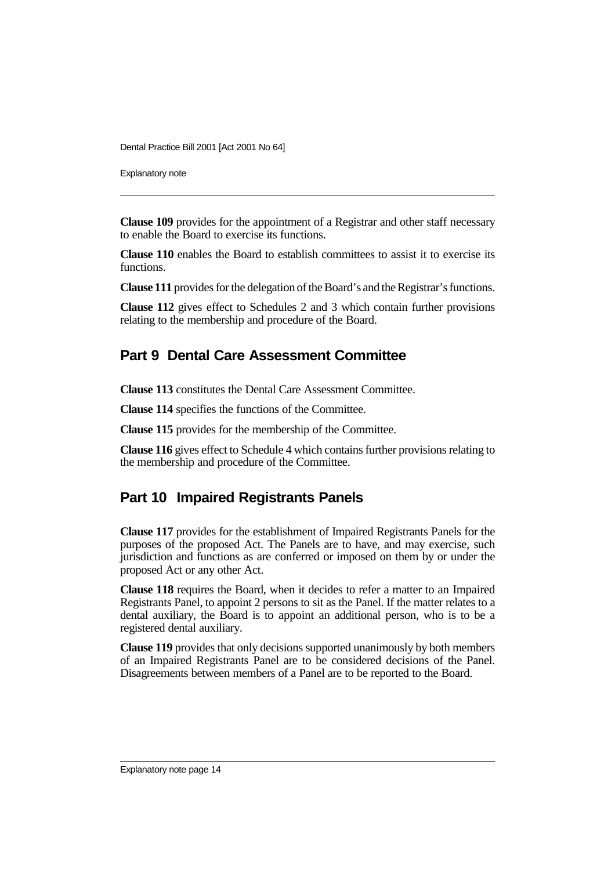Explanatory note

**Clause 109** provides for the appointment of a Registrar and other staff necessary to enable the Board to exercise its functions.

**Clause 110** enables the Board to establish committees to assist it to exercise its functions.

**Clause 111** provides for the delegation of the Board's and the Registrar's functions.

**Clause 112** gives effect to Schedules 2 and 3 which contain further provisions relating to the membership and procedure of the Board.

### **Part 9 Dental Care Assessment Committee**

**Clause 113** constitutes the Dental Care Assessment Committee.

**Clause 114** specifies the functions of the Committee.

**Clause 115** provides for the membership of the Committee.

**Clause 116** gives effect to Schedule 4 which contains further provisions relating to the membership and procedure of the Committee.

### **Part 10 Impaired Registrants Panels**

**Clause 117** provides for the establishment of Impaired Registrants Panels for the purposes of the proposed Act. The Panels are to have, and may exercise, such jurisdiction and functions as are conferred or imposed on them by or under the proposed Act or any other Act.

**Clause 118** requires the Board, when it decides to refer a matter to an Impaired Registrants Panel, to appoint 2 persons to sit as the Panel. If the matter relates to a dental auxiliary, the Board is to appoint an additional person, who is to be a registered dental auxiliary.

**Clause 119** provides that only decisions supported unanimously by both members of an Impaired Registrants Panel are to be considered decisions of the Panel. Disagreements between members of a Panel are to be reported to the Board.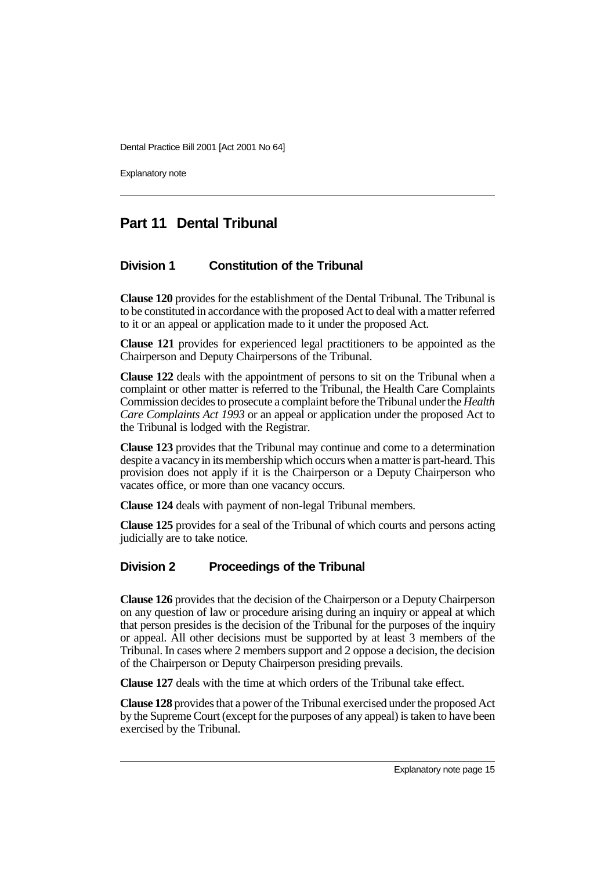Explanatory note

# **Part 11 Dental Tribunal**

### **Division 1 Constitution of the Tribunal**

**Clause 120** provides for the establishment of the Dental Tribunal. The Tribunal is to be constituted in accordance with the proposed Act to deal with a matter referred to it or an appeal or application made to it under the proposed Act.

**Clause 121** provides for experienced legal practitioners to be appointed as the Chairperson and Deputy Chairpersons of the Tribunal.

**Clause 122** deals with the appointment of persons to sit on the Tribunal when a complaint or other matter is referred to the Tribunal, the Health Care Complaints Commission decides to prosecute a complaint before the Tribunal under the *Health Care Complaints Act 1993* or an appeal or application under the proposed Act to the Tribunal is lodged with the Registrar.

**Clause 123** provides that the Tribunal may continue and come to a determination despite a vacancy in its membership which occurs when a matter is part-heard. This provision does not apply if it is the Chairperson or a Deputy Chairperson who vacates office, or more than one vacancy occurs.

**Clause 124** deals with payment of non-legal Tribunal members.

**Clause 125** provides for a seal of the Tribunal of which courts and persons acting judicially are to take notice.

### **Division 2 Proceedings of the Tribunal**

**Clause 126** provides that the decision of the Chairperson or a Deputy Chairperson on any question of law or procedure arising during an inquiry or appeal at which that person presides is the decision of the Tribunal for the purposes of the inquiry or appeal. All other decisions must be supported by at least 3 members of the Tribunal. In cases where 2 members support and 2 oppose a decision, the decision of the Chairperson or Deputy Chairperson presiding prevails.

**Clause 127** deals with the time at which orders of the Tribunal take effect.

**Clause 128** provides that a power of the Tribunal exercised under the proposed Act by the Supreme Court (except for the purposes of any appeal) is taken to have been exercised by the Tribunal.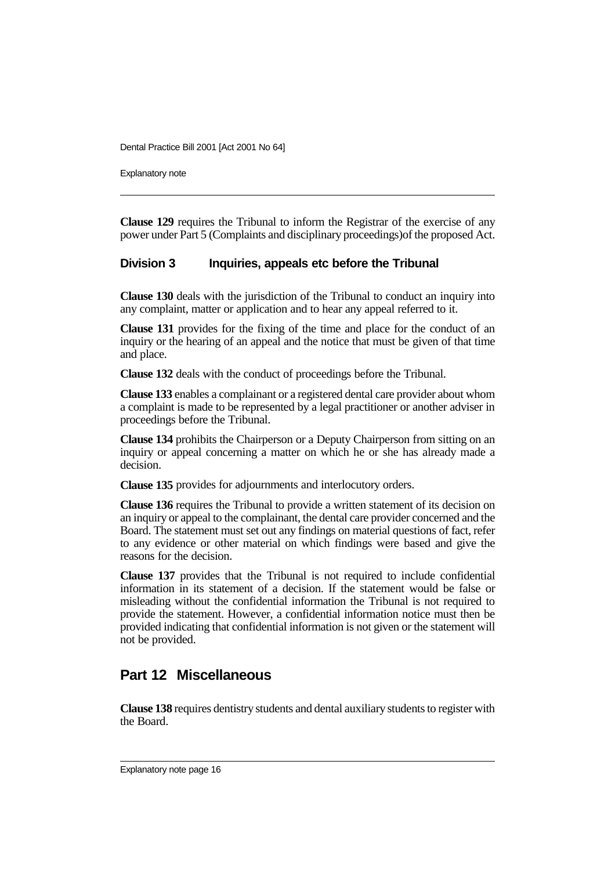Explanatory note

**Clause 129** requires the Tribunal to inform the Registrar of the exercise of any power under Part 5 (Complaints and disciplinary proceedings)of the proposed Act.

#### **Division 3 Inquiries, appeals etc before the Tribunal**

**Clause 130** deals with the jurisdiction of the Tribunal to conduct an inquiry into any complaint, matter or application and to hear any appeal referred to it.

**Clause 131** provides for the fixing of the time and place for the conduct of an inquiry or the hearing of an appeal and the notice that must be given of that time and place.

**Clause 132** deals with the conduct of proceedings before the Tribunal.

**Clause 133** enables a complainant or a registered dental care provider about whom a complaint is made to be represented by a legal practitioner or another adviser in proceedings before the Tribunal.

**Clause 134** prohibits the Chairperson or a Deputy Chairperson from sitting on an inquiry or appeal concerning a matter on which he or she has already made a decision.

**Clause 135** provides for adjournments and interlocutory orders.

**Clause 136** requires the Tribunal to provide a written statement of its decision on an inquiry or appeal to the complainant, the dental care provider concerned and the Board. The statement must set out any findings on material questions of fact, refer to any evidence or other material on which findings were based and give the reasons for the decision.

**Clause 137** provides that the Tribunal is not required to include confidential information in its statement of a decision. If the statement would be false or misleading without the confidential information the Tribunal is not required to provide the statement. However, a confidential information notice must then be provided indicating that confidential information is not given or the statement will not be provided.

### **Part 12 Miscellaneous**

**Clause 138** requires dentistry students and dental auxiliary students to register with the Board.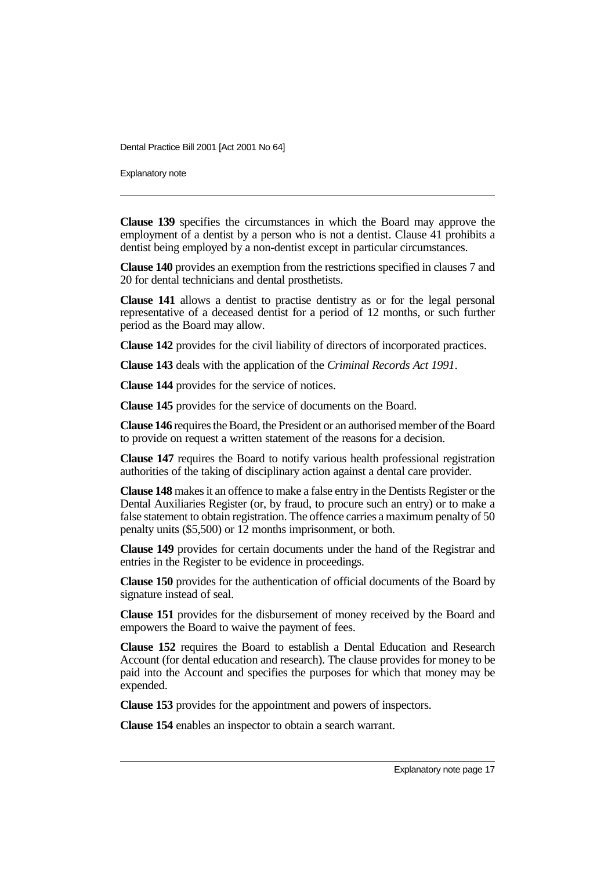Explanatory note

**Clause 139** specifies the circumstances in which the Board may approve the employment of a dentist by a person who is not a dentist. Clause 41 prohibits a dentist being employed by a non-dentist except in particular circumstances.

**Clause 140** provides an exemption from the restrictions specified in clauses 7 and 20 for dental technicians and dental prosthetists.

**Clause 141** allows a dentist to practise dentistry as or for the legal personal representative of a deceased dentist for a period of 12 months, or such further period as the Board may allow.

**Clause 142** provides for the civil liability of directors of incorporated practices.

**Clause 143** deals with the application of the *Criminal Records Act 1991*.

**Clause 144** provides for the service of notices.

**Clause 145** provides for the service of documents on the Board.

**Clause 146** requires the Board, the President or an authorised member of the Board to provide on request a written statement of the reasons for a decision.

**Clause 147** requires the Board to notify various health professional registration authorities of the taking of disciplinary action against a dental care provider.

**Clause 148** makes it an offence to make a false entry in the Dentists Register or the Dental Auxiliaries Register (or, by fraud, to procure such an entry) or to make a false statement to obtain registration. The offence carries a maximum penalty of 50 penalty units (\$5,500) or 12 months imprisonment, or both.

**Clause 149** provides for certain documents under the hand of the Registrar and entries in the Register to be evidence in proceedings.

**Clause 150** provides for the authentication of official documents of the Board by signature instead of seal.

**Clause 151** provides for the disbursement of money received by the Board and empowers the Board to waive the payment of fees.

**Clause 152** requires the Board to establish a Dental Education and Research Account (for dental education and research). The clause provides for money to be paid into the Account and specifies the purposes for which that money may be expended.

**Clause 153** provides for the appointment and powers of inspectors.

**Clause 154** enables an inspector to obtain a search warrant.